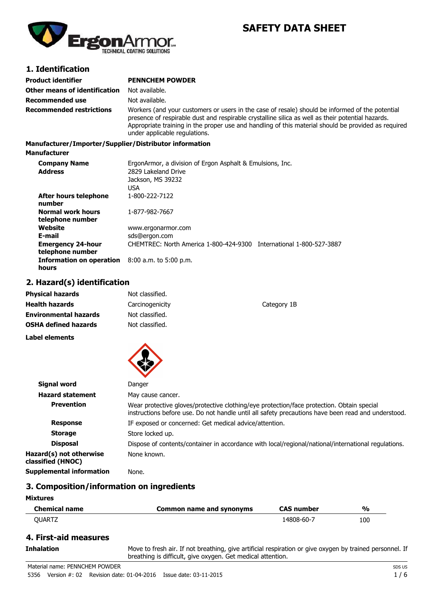

# **SAFETY DATA SHEET**

## **1. Identification**

| Product identifier            | <b>PENNCHEM POWDER</b>                                                                                                                                                                                                                                                                                                                       |
|-------------------------------|----------------------------------------------------------------------------------------------------------------------------------------------------------------------------------------------------------------------------------------------------------------------------------------------------------------------------------------------|
| Other means of identification | Not available.                                                                                                                                                                                                                                                                                                                               |
| Recommended use               | Not available.                                                                                                                                                                                                                                                                                                                               |
| Recommended restrictions      | Workers (and your customers or users in the case of resale) should be informed of the potential<br>presence of respirable dust and respirable crystalline silica as well as their potential hazards.<br>Appropriate training in the proper use and handling of this material should be provided as required<br>under applicable regulations. |

#### **Manufacturer/Importer/Supplier/Distributor information**

#### **Manufacturer**

| <b>Company Name</b><br><b>Address</b>        | ErgonArmor, a division of Ergon Asphalt & Emulsions, Inc.<br>2829 Lakeland Drive<br>Jackson, MS 39232<br>USA |
|----------------------------------------------|--------------------------------------------------------------------------------------------------------------|
| After hours telephone<br>number              | 1-800-222-7122                                                                                               |
| <b>Normal work hours</b><br>telephone number | 1-877-982-7667                                                                                               |
| Website<br>E-mail                            | www.ergonarmor.com<br>sds@ergon.com                                                                          |
| <b>Emergency 24-hour</b><br>telephone number | CHEMTREC: North America 1-800-424-9300<br>International 1-800-527-3887                                       |
| <b>Information on operation</b><br>hours     | $8:00$ a.m. to 5:00 p.m.                                                                                     |

## **2. Hazard(s) identification**

| Physical hazards             | Not classified. |             |
|------------------------------|-----------------|-------------|
| Health hazards               | Carcinogenicity | Category 1B |
| <b>Environmental hazards</b> | Not classified. |             |
| OSHA defined hazards         | Not classified. |             |
|                              |                 |             |

**Label elements**



| Signal word                                  | Danger                                                                                                                                                                                          |
|----------------------------------------------|-------------------------------------------------------------------------------------------------------------------------------------------------------------------------------------------------|
| <b>Hazard statement</b>                      | May cause cancer.                                                                                                                                                                               |
| <b>Prevention</b>                            | Wear protective gloves/protective clothing/eye protection/face protection. Obtain special<br>instructions before use. Do not handle until all safety precautions have been read and understood. |
| <b>Response</b>                              | IF exposed or concerned: Get medical advice/attention.                                                                                                                                          |
| <b>Storage</b>                               | Store locked up.                                                                                                                                                                                |
| <b>Disposal</b>                              | Dispose of contents/container in accordance with local/regional/national/international regulations.                                                                                             |
| Hazard(s) not otherwise<br>classified (HNOC) | None known.                                                                                                                                                                                     |
| <b>Supplemental information</b>              | None.                                                                                                                                                                                           |

## **3. Composition/information on ingredients**

## **Mixtures**

| <b>Chemical name</b> | Common name and synonyms | <b>CAS number</b> | %   |
|----------------------|--------------------------|-------------------|-----|
| OUARTZ               |                          | 14808-60-7        | 100 |

## **4. First-aid measures**

Inhalation Move to fresh air. If not breathing, give artificial respiration or give oxygen by trained personnel. If breathing is difficult, give oxygen. Get medical attention.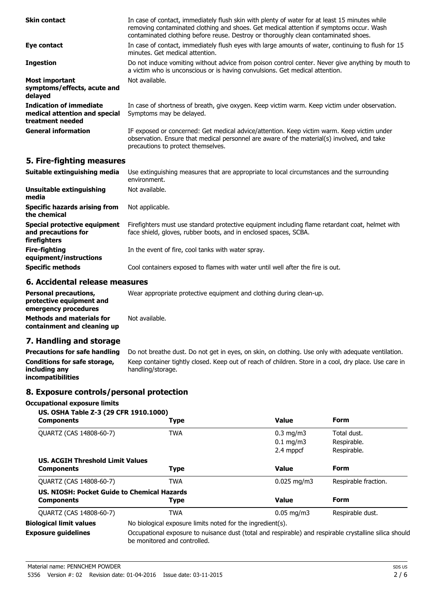| <b>Skin contact</b>                                                          | In case of contact, immediately flush skin with plenty of water for at least 15 minutes while<br>removing contaminated clothing and shoes. Get medical attention if symptoms occur. Wash<br>contaminated clothing before reuse. Destroy or thoroughly clean contaminated shoes. |
|------------------------------------------------------------------------------|---------------------------------------------------------------------------------------------------------------------------------------------------------------------------------------------------------------------------------------------------------------------------------|
| Eye contact                                                                  | In case of contact, immediately flush eyes with large amounts of water, continuing to flush for 15<br>minutes. Get medical attention.                                                                                                                                           |
| <b>Ingestion</b>                                                             | Do not induce vomiting without advice from poison control center. Never give anything by mouth to<br>a victim who is unconscious or is having convulsions. Get medical attention.                                                                                               |
| Most important<br>symptoms/effects, acute and<br>delayed                     | Not available.                                                                                                                                                                                                                                                                  |
| Indication of immediate<br>medical attention and special<br>treatment needed | In case of shortness of breath, give oxygen. Keep victim warm. Keep victim under observation.<br>Symptoms may be delayed.                                                                                                                                                       |
| <b>General information</b>                                                   | IF exposed or concerned: Get medical advice/attention. Keep victim warm. Keep victim under<br>observation. Ensure that medical personnel are aware of the material(s) involved, and take<br>precautions to protect themselves.                                                  |

## **5. Fire-fighting measures**

| Suitable extinguishing media                                        | Use extinguishing measures that are appropriate to local circumstances and the surrounding<br>environment.                                                          |
|---------------------------------------------------------------------|---------------------------------------------------------------------------------------------------------------------------------------------------------------------|
| Unsuitable extinguishing<br>media                                   | Not available.                                                                                                                                                      |
| Specific hazards arising from<br>the chemical                       | Not applicable.                                                                                                                                                     |
| Special protective equipment<br>and precautions for<br>firefighters | Firefighters must use standard protective equipment including flame retardant coat, helmet with<br>face shield, gloves, rubber boots, and in enclosed spaces, SCBA. |
| <b>Fire-fighting</b><br>equipment/instructions                      | In the event of fire, cool tanks with water spray.                                                                                                                  |
| <b>Specific methods</b>                                             | Cool containers exposed to flames with water until well after the fire is out.                                                                                      |

## **6. Accidental release measures**

**Personal precautions, protective equipment and emergency procedures** Wear appropriate protective equipment and clothing during clean-up. **Methods and materials for containment and cleaning up** Not available.

# **7. Handling and storage**

**Precautions for safe handling** Do not breathe dust. Do not get in eyes, on skin, on clothing. Use only with adequate ventilation. **Conditions for safe storage, including any incompatibilities** Keep container tightly closed. Keep out of reach of children. Store in a cool, dry place. Use care in handling/storage.

# **8. Exposure controls/personal protection**

### **Occupational exposure limits**

| US. OSHA Table Z-3 (29 CFR 1910.1000)<br><b>Components</b> | <b>Type</b>                                                                                                                            | <b>Value</b>            | <b>Form</b>          |
|------------------------------------------------------------|----------------------------------------------------------------------------------------------------------------------------------------|-------------------------|----------------------|
| QUARTZ (CAS 14808-60-7)                                    | <b>TWA</b>                                                                                                                             | $0.3 \text{ mg/m}$      | Total dust.          |
|                                                            |                                                                                                                                        | $0.1 \text{ mg/m}$      | Respirable.          |
|                                                            |                                                                                                                                        | 2.4 mppcf               | Respirable.          |
| <b>US. ACGIH Threshold Limit Values</b>                    |                                                                                                                                        |                         |                      |
| <b>Components</b>                                          | <b>Type</b>                                                                                                                            | <b>Value</b>            | <b>Form</b>          |
| QUARTZ (CAS 14808-60-7)                                    | <b>TWA</b>                                                                                                                             | $0.025 \,\mathrm{mq/m}$ | Respirable fraction. |
| US. NIOSH: Pocket Guide to Chemical Hazards                |                                                                                                                                        |                         |                      |
| <b>Components</b>                                          | <b>Type</b>                                                                                                                            | <b>Value</b>            | Form                 |
| QUARTZ (CAS 14808-60-7)                                    | <b>TWA</b>                                                                                                                             | $0.05 \,\mathrm{mg/m}$  | Respirable dust.     |
| <b>Biological limit values</b>                             | No biological exposure limits noted for the ingredient(s).                                                                             |                         |                      |
| <b>Exposure guidelines</b>                                 | Occupational exposure to nuisance dust (total and respirable) and respirable crystalline silica should<br>be monitored and controlled. |                         |                      |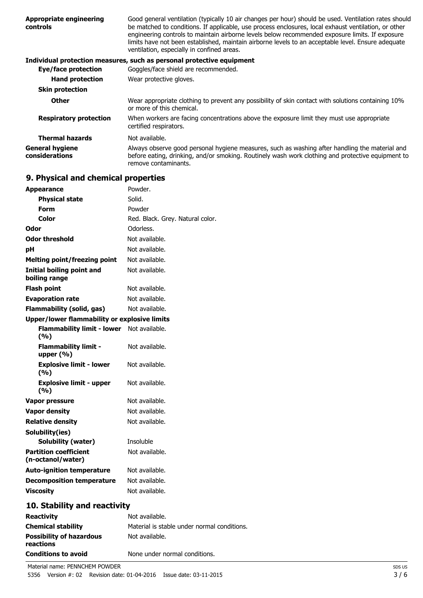| <b>Appropriate engineering</b><br>controls | Good general ventilation (typically 10 air changes per hour) should be used. Ventilation rates should<br>be matched to conditions. If applicable, use process enclosures, local exhaust ventilation, or other<br>engineering controls to maintain airborne levels below recommended exposure limits. If exposure<br>limits have not been established, maintain airborne levels to an acceptable level. Ensure adequate<br>ventilation, especially in confined areas. |
|--------------------------------------------|----------------------------------------------------------------------------------------------------------------------------------------------------------------------------------------------------------------------------------------------------------------------------------------------------------------------------------------------------------------------------------------------------------------------------------------------------------------------|
|                                            | Individual protection measures, such as personal protective equipment                                                                                                                                                                                                                                                                                                                                                                                                |
| Eye/face protection                        | Goggles/face shield are recommended.                                                                                                                                                                                                                                                                                                                                                                                                                                 |
| <b>Hand protection</b>                     | Wear protective gloves.                                                                                                                                                                                                                                                                                                                                                                                                                                              |
| <b>Skin protection</b>                     |                                                                                                                                                                                                                                                                                                                                                                                                                                                                      |
| <b>Other</b>                               | Wear appropriate clothing to prevent any possibility of skin contact with solutions containing 10%<br>or more of this chemical.                                                                                                                                                                                                                                                                                                                                      |
| <b>Respiratory protection</b>              | When workers are facing concentrations above the exposure limit they must use appropriate<br>certified respirators.                                                                                                                                                                                                                                                                                                                                                  |
| <b>Thermal hazards</b>                     | Not available.                                                                                                                                                                                                                                                                                                                                                                                                                                                       |
| <b>General hygiene</b><br>considerations   | Always observe good personal hygiene measures, such as washing after handling the material and<br>before eating, drinking, and/or smoking. Routinely wash work clothing and protective equipment to<br>remove contaminants.                                                                                                                                                                                                                                          |

# **9. Physical and chemical properties**

| <b>Appearance</b>                                   | Powder.                          |
|-----------------------------------------------------|----------------------------------|
| <b>Physical state</b>                               | Solid.                           |
| Form                                                | Powder                           |
| Color                                               | Red. Black. Grey. Natural color. |
| Odor                                                | Odorless.                        |
| <b>Odor threshold</b>                               | Not available.                   |
| рH                                                  | Not available.                   |
| <b>Melting point/freezing point</b>                 | Not available.                   |
| Initial boiling point and<br>boiling range          | Not available.                   |
| <b>Flash point</b>                                  | Not available.                   |
| <b>Evaporation rate</b>                             | Not available.                   |
| <b>Flammability (solid, gas)</b>                    | Not available.                   |
| <b>Upper/lower flammability or explosive limits</b> |                                  |
| <b>Flammability limit - lower</b><br>(9/6)          | Not available.                   |
| <b>Flammability limit -</b><br>upper $(% )$         | Not available.                   |
| <b>Explosive limit - lower</b><br>(%)               | Not available.                   |
| <b>Explosive limit - upper</b><br>(%)               | Not available.                   |
| Vapor pressure                                      | Not available.                   |
| <b>Vapor density</b>                                | Not available.                   |
| <b>Relative density</b>                             | Not available.                   |
| Solubility(ies)                                     |                                  |
| Solubility (water)                                  | Insoluble                        |
| <b>Partition coefficient</b><br>(n-octanol/water)   | Not available.                   |
| <b>Auto-ignition temperature</b>                    | Not available.                   |
| <b>Decomposition temperature</b>                    | Not available.                   |
| <b>Viscosity</b>                                    | Not available.                   |
| 10. Stability and reactivity                        |                                  |

#### **Reactivity** Not available. **Chemical stability** Material is stable under normal conditions. **Possibility of hazardous reactions** Not available. **Conditions to avoid** None under normal conditions.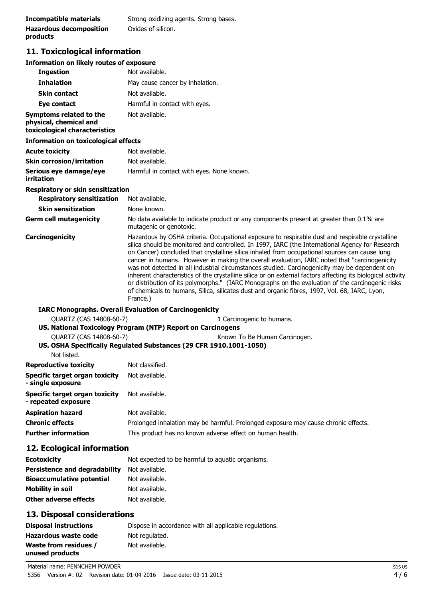| Incompatible materials         | Strong oxidizing agents. Strong bases. |
|--------------------------------|----------------------------------------|
| <b>Hazardous decomposition</b> | Oxides of silicon.                     |
| products                       |                                        |

# **11. Toxicological information**

#### **Information on likely routes of exposure**

| <b>Ingestion</b>                                                                   | Not available.                                                                                                                                                                                                                                                                                                                                                                                                                                                                                                                                                                                                                                                                                                                                                                                                                       |
|------------------------------------------------------------------------------------|--------------------------------------------------------------------------------------------------------------------------------------------------------------------------------------------------------------------------------------------------------------------------------------------------------------------------------------------------------------------------------------------------------------------------------------------------------------------------------------------------------------------------------------------------------------------------------------------------------------------------------------------------------------------------------------------------------------------------------------------------------------------------------------------------------------------------------------|
| <b>Inhalation</b>                                                                  | May cause cancer by inhalation.                                                                                                                                                                                                                                                                                                                                                                                                                                                                                                                                                                                                                                                                                                                                                                                                      |
| <b>Skin contact</b>                                                                | Not available.                                                                                                                                                                                                                                                                                                                                                                                                                                                                                                                                                                                                                                                                                                                                                                                                                       |
| Eye contact                                                                        | Harmful in contact with eyes.                                                                                                                                                                                                                                                                                                                                                                                                                                                                                                                                                                                                                                                                                                                                                                                                        |
| Symptoms related to the<br>physical, chemical and<br>toxicological characteristics | Not available.                                                                                                                                                                                                                                                                                                                                                                                                                                                                                                                                                                                                                                                                                                                                                                                                                       |
| <b>Information on toxicological effects</b>                                        |                                                                                                                                                                                                                                                                                                                                                                                                                                                                                                                                                                                                                                                                                                                                                                                                                                      |
| Acute toxicity                                                                     | Not available.                                                                                                                                                                                                                                                                                                                                                                                                                                                                                                                                                                                                                                                                                                                                                                                                                       |
| <b>Skin corrosion/irritation</b>                                                   | Not available.                                                                                                                                                                                                                                                                                                                                                                                                                                                                                                                                                                                                                                                                                                                                                                                                                       |
| Serious eye damage/eye<br>irritation                                               | Harmful in contact with eyes. None known.                                                                                                                                                                                                                                                                                                                                                                                                                                                                                                                                                                                                                                                                                                                                                                                            |
| Respiratory or skin sensitization                                                  |                                                                                                                                                                                                                                                                                                                                                                                                                                                                                                                                                                                                                                                                                                                                                                                                                                      |
| <b>Respiratory sensitization</b>                                                   | Not available.                                                                                                                                                                                                                                                                                                                                                                                                                                                                                                                                                                                                                                                                                                                                                                                                                       |
| <b>Skin sensitization</b>                                                          | None known.                                                                                                                                                                                                                                                                                                                                                                                                                                                                                                                                                                                                                                                                                                                                                                                                                          |
| Germ cell mutagenicity                                                             | No data available to indicate product or any components present at greater than 0.1% are<br>mutagenic or genotoxic.                                                                                                                                                                                                                                                                                                                                                                                                                                                                                                                                                                                                                                                                                                                  |
| <b>Carcinogenicity</b>                                                             | Hazardous by OSHA criteria. Occupational exposure to respirable dust and respirable crystalline<br>silica should be monitored and controlled. In 1997, IARC (the International Agency for Research<br>on Cancer) concluded that crystalline silica inhaled from occupational sources can cause lung<br>cancer in humans. However in making the overall evaluation, IARC noted that "carcinogenicity<br>was not detected in all industrial circumstances studied. Carcinogenicity may be dependent on<br>inherent characteristics of the crystalline silica or on external factors affecting its biological activity<br>or distribution of its polymorphs." (IARC Monographs on the evaluation of the carcinogenic risks<br>of chemicals to humans, Silica, silicates dust and organic fibres, 1997, Vol. 68, IARC, Lyon,<br>France.) |
|                                                                                    | <b>IARC Monographs. Overall Evaluation of Carcinogenicity</b>                                                                                                                                                                                                                                                                                                                                                                                                                                                                                                                                                                                                                                                                                                                                                                        |
| <b>OUARTZ (CAS 14808-60-7)</b>                                                     | 1 Carcinogenic to humans.<br>US. National Toxicology Program (NTP) Report on Carcinogens                                                                                                                                                                                                                                                                                                                                                                                                                                                                                                                                                                                                                                                                                                                                             |
| QUARTZ (CAS 14808-60-7)<br>Not listed.                                             | Known To Be Human Carcinogen.<br>US. OSHA Specifically Regulated Substances (29 CFR 1910.1001-1050)                                                                                                                                                                                                                                                                                                                                                                                                                                                                                                                                                                                                                                                                                                                                  |
| <b>Reproductive toxicity</b>                                                       | Not classified.                                                                                                                                                                                                                                                                                                                                                                                                                                                                                                                                                                                                                                                                                                                                                                                                                      |
| Specific target organ toxicity<br>- single exposure                                | Not available.                                                                                                                                                                                                                                                                                                                                                                                                                                                                                                                                                                                                                                                                                                                                                                                                                       |
| Specific target organ toxicity<br>- repeated exposure                              | Not available.                                                                                                                                                                                                                                                                                                                                                                                                                                                                                                                                                                                                                                                                                                                                                                                                                       |
| Aspiration hazard                                                                  | Not available.                                                                                                                                                                                                                                                                                                                                                                                                                                                                                                                                                                                                                                                                                                                                                                                                                       |
| Chronic effects                                                                    | Prolonged inhalation may be harmful. Prolonged exposure may cause chronic effects.                                                                                                                                                                                                                                                                                                                                                                                                                                                                                                                                                                                                                                                                                                                                                   |
| <b>Further information</b>                                                         | This product has no known adverse effect on human health.                                                                                                                                                                                                                                                                                                                                                                                                                                                                                                                                                                                                                                                                                                                                                                            |

# **12. Ecological information**

| <b>Ecotoxicity</b>               | Not expected to be harmful to aguatic organisms. |
|----------------------------------|--------------------------------------------------|
| Persistence and degradability    | Not available.                                   |
| <b>Bioaccumulative potential</b> | Not available.                                   |
| Mobility in soil                 | Not available.                                   |
| Other adverse effects            | Not available.                                   |

# **13. Disposal considerations**

| <b>Disposal instructions</b>             | Dispose in accordance with all applicable regulations. |
|------------------------------------------|--------------------------------------------------------|
| Hazardous waste code                     | Not regulated.                                         |
| Waste from residues /<br>unused products | Not available.                                         |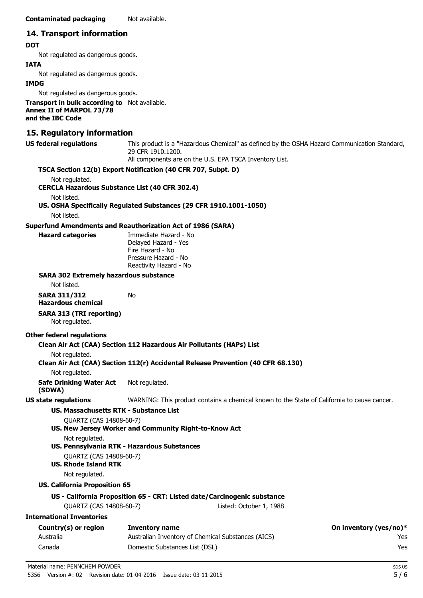## **14. Transport information**

### **DOT**

Not regulated as dangerous goods.

#### **IATA**

Not regulated as dangerous goods.

#### **IMDG**

Not regulated as dangerous goods.

**Transport in bulk according to** Not available. **Annex II of MARPOL 73/78 and the IBC Code**

## **15. Regulatory information**

| US federal regulations   | This product is a "Hazardous Chemical" as defined by the OSHA Hazard Communication Standard<br>29 CFR 1910.1200.<br>All components are on the U.S. EPA TSCA Inventory List. |
|--------------------------|-----------------------------------------------------------------------------------------------------------------------------------------------------------------------------|
|                          | TSCA Section 12(b) Export Notification (40 CFR 707, Subpt. D)                                                                                                               |
| Not regulated.           |                                                                                                                                                                             |
|                          | <b>CERCLA Hazardous Substance List (40 CFR 302.4)</b>                                                                                                                       |
| Not listed.              |                                                                                                                                                                             |
|                          | US. OSHA Specifically Regulated Substances (29 CFR 1910.1001-1050)                                                                                                          |
| Not listed.              |                                                                                                                                                                             |
|                          | <b>Superfund Amendments and Reauthorization Act of 1986 (SARA)</b>                                                                                                          |
| <b>Hazard categories</b> | Immediate Hazard - No                                                                                                                                                       |
|                          | Delayed Hazard - Yes                                                                                                                                                        |
|                          | Fire Hazard - No                                                                                                                                                            |
|                          | <b>Deserves Hermand Nic</b>                                                                                                                                                 |

Pressure Hazard - No Reactivity Hazard - No

#### **SARA 302 Extremely hazardous substance**

Not listed.

**SARA 311/312 Hazardous chemical**

## **SARA 313 (TRI reporting)**

Not regulated.

#### **Other federal regulations**

### **Clean Air Act (CAA) Section 112 Hazardous Air Pollutants (HAPs) List**

No

Not regulated.

### **Clean Air Act (CAA) Section 112(r) Accidental Release Prevention (40 CFR 68.130)**

Not regulated.

**Safe Drinking Water Act (SDWA)** Not regulated.

**US state regulations** WARNING: This product contains a chemical known to the State of California to cause cancer.

# **US. Massachusetts RTK - Substance List**

- QUARTZ (CAS 14808-60-7) **US. New Jersey Worker and Community Right-to-Know Act** Not regulated.
- **US. Pennsylvania RTK Hazardous Substances**
	- QUARTZ (CAS 14808-60-7)

# **US. Rhode Island RTK**

Not regulated.

## **US. California Proposition 65**

# **US - California Proposition 65 - CRT: Listed date/Carcinogenic substance**

QUARTZ (CAS 14808-60-7) Listed: October 1, 1988

# **International Inventories**

| Country(s) or region | Inventory name                                     | On inventory (yes/no)* |
|----------------------|----------------------------------------------------|------------------------|
| Australia            | Australian Inventory of Chemical Substances (AICS) | Yes                    |
| Canada               | Domestic Substances List (DSL)                     | Yes                    |